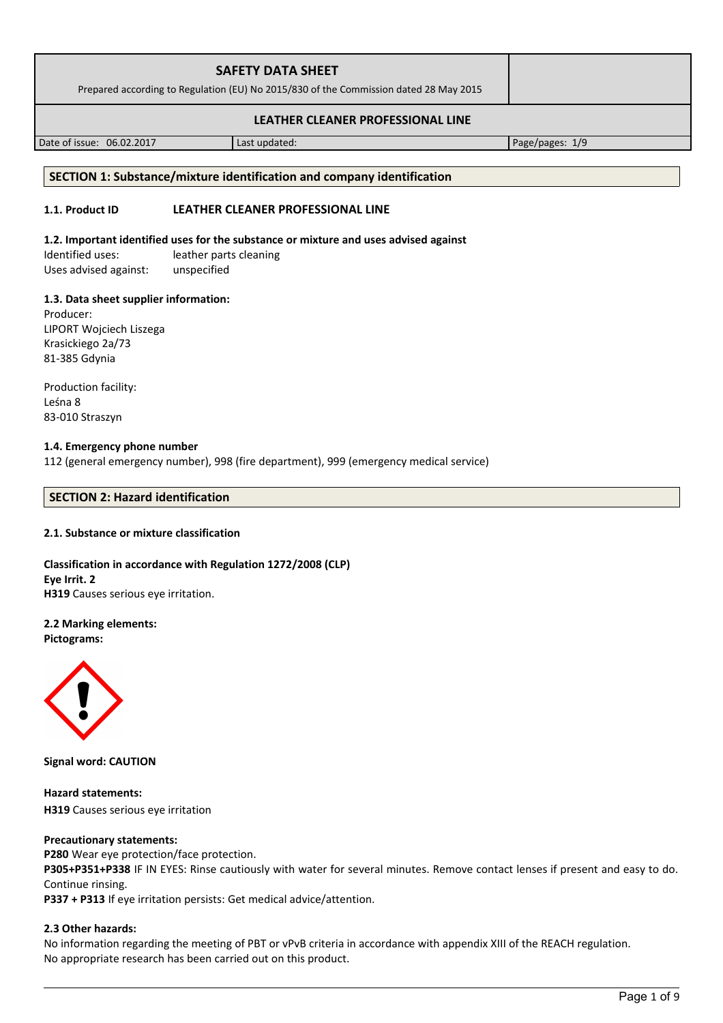| <b>SAFETY DATA SHEET</b><br>Prepared according to Regulation (EU) No 2015/830 of the Commission dated 28 May 2015 |  |
|-------------------------------------------------------------------------------------------------------------------|--|
| LEATHER CLEANER PROFESSIONAL LINE                                                                                 |  |

Date of issue: 06.02.2017 and a last updated: Page/pages: 1/9

### **SECTION 1: Substance/mixture identification and company identification**

# **1.1. Product ID LEATHER CLEANER PROFESSIONAL LINE**

# **1.2. Important identified uses for the substance or mixture and uses advised against**

Identified uses: leather parts cleaning Uses advised against: unspecified

# **1.3. Data sheet supplier information:**

Producer: LIPORT Wojciech Liszega Krasickiego 2a/73 81-385 Gdynia

Production facility: Leśna 8 83-010 Straszyn

# **1.4. Emergency phone number**

112 (general emergency number), 998 (fire department), 999 (emergency medical service)

# **SECTION 2: Hazard identification**

# **2.1. Substance or mixture classification**

**Classification in accordance with Regulation 1272/2008 (CLP) Eye Irrit. 2 H319** Causes serious eye irritation.

# **2.2 Marking elements:**

**Pictograms:**



**Signal word: CAUTION**

**Hazard statements: H319** Causes serious eye irritation

#### **Precautionary statements:**

**P280** Wear eye protection/face protection.

**P305+P351+P338** IF IN EYES: Rinse cautiously with water for several minutes. Remove contact lenses if present and easy to do. Continue rinsing.

**P337 + P313** If eye irritation persists: Get medical advice/attention.

# **2.3 Other hazards:**

No information regarding the meeting of PBT or vPvB criteria in accordance with appendix XIII of the REACH regulation. No appropriate research has been carried out on this product.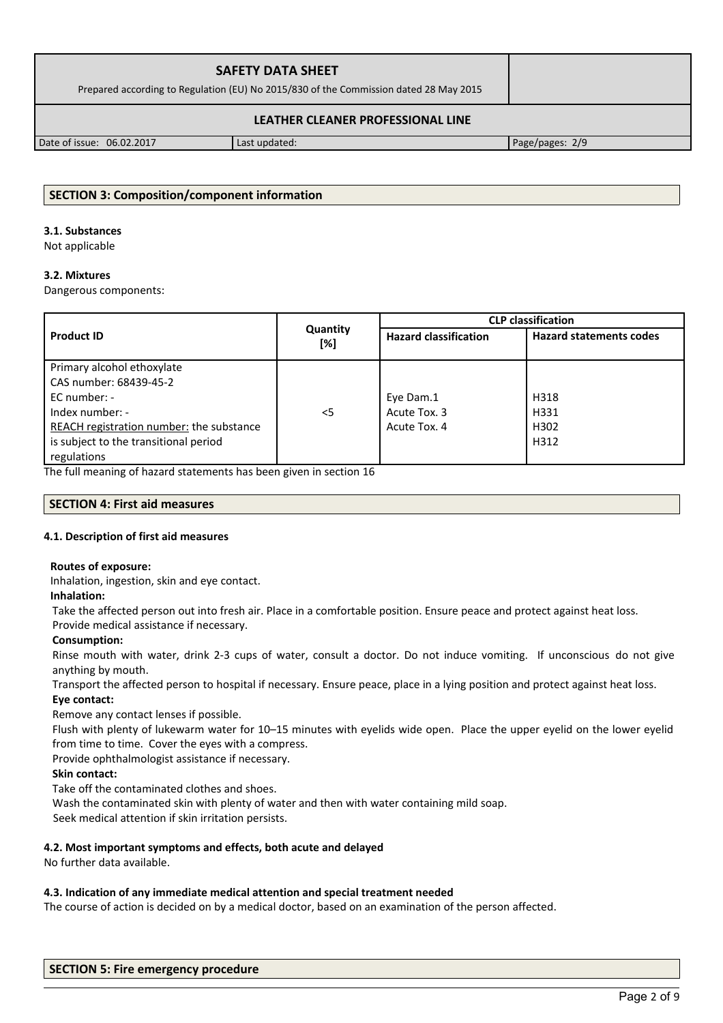| <b>SAFETY DATA SHEET</b><br>Prepared according to Regulation (EU) No 2015/830 of the Commission dated 28 May 2015 |  |  |
|-------------------------------------------------------------------------------------------------------------------|--|--|
| LEATHER CLEANER PROFESSIONAL LINE                                                                                 |  |  |

Date of issue: 06.02.2017 Last updated: Page/pages: 2/9

# **SECTION 3: Composition/component information**

### **3.1. Substances**

Not applicable

# **3.2. Mixtures**

Dangerous components:

|                                          |                 | <b>CLP classification</b>    |                                |  |
|------------------------------------------|-----------------|------------------------------|--------------------------------|--|
| <b>Product ID</b>                        | Quantity<br>[%] | <b>Hazard classification</b> | <b>Hazard statements codes</b> |  |
| Primary alcohol ethoxylate               |                 |                              |                                |  |
| CAS number: 68439-45-2                   |                 |                              |                                |  |
| EC number: -                             |                 | Eye Dam.1                    | H318                           |  |
| Index number: -                          | $<$ 5           | Acute Tox. 3                 | H331                           |  |
| REACH registration number: the substance |                 | Acute Tox. 4                 | H302                           |  |
| is subject to the transitional period    |                 |                              | H312                           |  |
| regulations                              |                 |                              |                                |  |

The full meaning of hazard statements has been given in section 16

# **SECTION 4: First aid measures**

# **4.1. Description of first aid measures**

# **Routes of exposure:**

Inhalation, ingestion, skin and eye contact.

# **Inhalation:**

Take the affected person out into fresh air. Place in a comfortable position. Ensure peace and protect against heat loss. Provide medical assistance if necessary.

# **Consumption:**

Rinse mouth with water, drink 2-3 cups of water, consult a doctor. Do not induce vomiting. If unconscious do not give anything by mouth.

Transport the affected person to hospital if necessary. Ensure peace, place in a lying position and protect against heat loss. **Eye contact:**

Remove any contact lenses if possible.

Flush with plenty of lukewarm water for 10–15 minutes with eyelids wide open. Place the upper eyelid on the lower eyelid from time to time. Cover the eyes with a compress.

Provide ophthalmologist assistance if necessary.

# **Skin contact:**

Take off the contaminated clothes and shoes.

Wash the contaminated skin with plenty of water and then with water containing mild soap.

Seek medical attention if skin irritation persists.

# **4.2. Most important symptoms and effects, both acute and delayed**

No further data available.

# **4.3. Indication of any immediate medical attention and special treatment needed**

The course of action is decided on by a medical doctor, based on an examination of the person affected.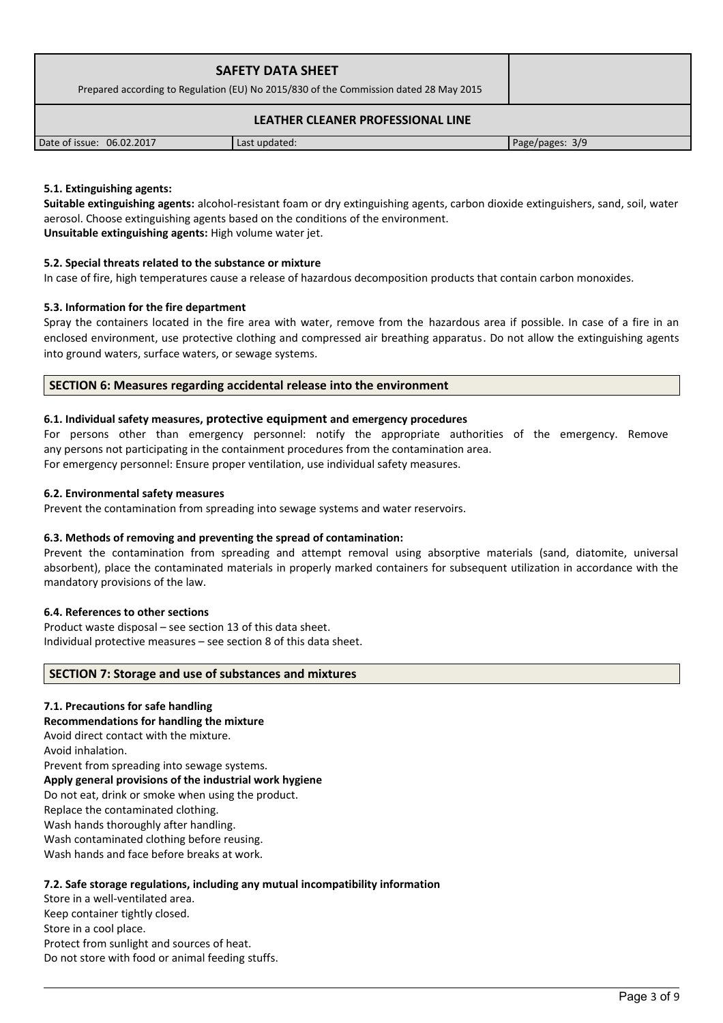| <b>SAFETY DATA SHEET</b><br>Prepared according to Regulation (EU) No 2015/830 of the Commission dated 28 May 2015 |               |                 |  |
|-------------------------------------------------------------------------------------------------------------------|---------------|-----------------|--|
| LEATHER CLEANER PROFESSIONAL LINE                                                                                 |               |                 |  |
| Date of issue: 06.02.2017                                                                                         | Last updated: | Page/pages: 3/9 |  |

# **5.1. Extinguishing agents:**

**Suitable extinguishing agents:** alcohol-resistant foam or dry extinguishing agents, carbon dioxide extinguishers, sand, soil, water aerosol. Choose extinguishing agents based on the conditions of the environment. **Unsuitable extinguishing agents:** High volume water jet.

# **5.2. Special threats related to the substance or mixture**

In case of fire, high temperatures cause a release of hazardous decomposition products that contain carbon monoxides.

# **5.3. Information for the fire department**

Spray the containers located in the fire area with water, remove from the hazardous area if possible. In case of a fire in an enclosed environment, use protective clothing and compressed air breathing apparatus. Do not allow the extinguishing agents into ground waters, surface waters, or sewage systems.

# **SECTION 6: Measures regarding accidental release into the environment**

# **6.1. Individual safety measures, protective equipment and emergency procedures**

For persons other than emergency personnel: notify the appropriate authorities of the emergency. Remove any persons not participating in the containment procedures from the contamination area. For emergency personnel: Ensure proper ventilation, use individual safety measures.

**6.2. Environmental safety measures**

Prevent the contamination from spreading into sewage systems and water reservoirs.

# **6.3. Methods of removing and preventing the spread of contamination:**

Prevent the contamination from spreading and attempt removal using absorptive materials (sand, diatomite, universal absorbent), place the contaminated materials in properly marked containers for subsequent utilization in accordance with the mandatory provisions of the law.

# **6.4. References to other sections**

Product waste disposal – see section 13 of this data sheet. Individual protective measures – see section 8 of this data sheet.

# **SECTION 7: Storage and use of substances and mixtures**

# **7.1. Precautions for safe handling**

**Recommendations for handling the mixture** 

Avoid direct contact with the mixture.

Avoid inhalation.

Prevent from spreading into sewage systems. **Apply general provisions of the industrial work hygiene**  Do not eat, drink or smoke when using the product.

Replace the contaminated clothing.

Wash hands thoroughly after handling.

Wash contaminated clothing before reusing.

Wash hands and face before breaks at work.

# **7.2. Safe storage regulations, including any mutual incompatibility information**

Store in a well-ventilated area. Keep container tightly closed. Store in a cool place. Protect from sunlight and sources of heat. Do not store with food or animal feeding stuffs.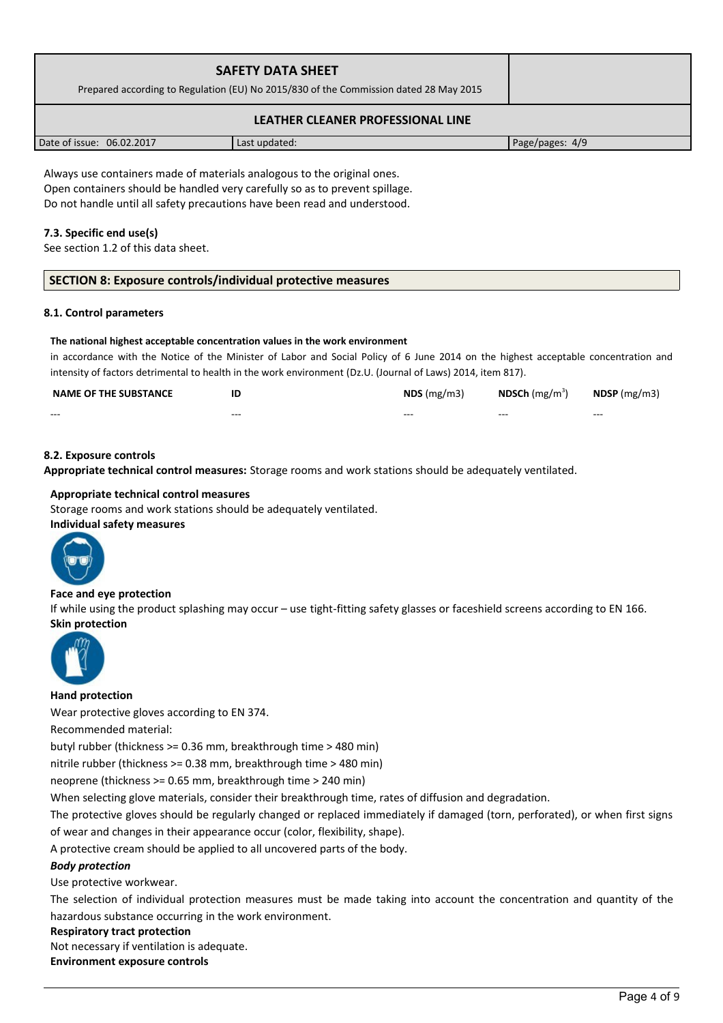| SAFETY DATA SHEET<br>Prepared according to Regulation (EU) No 2015/830 of the Commission dated 28 May 2015 |  |
|------------------------------------------------------------------------------------------------------------|--|
| LEATHER CLEANER PROFESSIONAL LINE                                                                          |  |

Date of issue: 06.02.2017 Last updated: Page/pages: 4/9

Always use containers made of materials analogous to the original ones. Open containers should be handled very carefully so as to prevent spillage. Do not handle until all safety precautions have been read and understood.

# **7.3. Specific end use(s)**

See section 1.2 of this data sheet.

# **SECTION 8: Exposure controls/individual protective measures**

#### **8.1. Control parameters**

#### **The national highest acceptable concentration values in the work environment**

in accordance with the Notice of the Minister of Labor and Social Policy of 6 June 2014 on the highest acceptable concentration and intensity of factors detrimental to health in the work environment (Dz.U. (Journal of Laws) 2014, item 817).

| <b>NAME OF THE SUBSTANCE</b> |         | $NDS$ (mg/m3) | <b>NDSCh</b> $(mg/m3)$ | $N$ DSP (mg/m3) |
|------------------------------|---------|---------------|------------------------|-----------------|
| $- - -$                      | $- - -$ | $- - -$       | $- - -$                | $- - -$         |

# **8.2. Exposure controls**

**Appropriate technical control measures:** Storage rooms and work stations should be adequately ventilated.

#### **Appropriate technical control measures**

Storage rooms and work stations should be adequately ventilated. **Individual safety measures** 



# **Face and eye protection**

If while using the product splashing may occur – use tight-fitting safety glasses or faceshield screens according to EN 166. **Skin protection** 



#### **Hand protection**

Wear protective gloves according to EN 374.

Recommended material:

butyl rubber (thickness >= 0.36 mm, breakthrough time > 480 min)

nitrile rubber (thickness >= 0.38 mm, breakthrough time > 480 min)

neoprene (thickness >= 0.65 mm, breakthrough time > 240 min)

When selecting glove materials, consider their breakthrough time, rates of diffusion and degradation.

The protective gloves should be regularly changed or replaced immediately if damaged (torn, perforated), or when first signs of wear and changes in their appearance occur (color, flexibility, shape).

A protective cream should be applied to all uncovered parts of the body.

# *Body protection*

Use protective workwear.

The selection of individual protection measures must be made taking into account the concentration and quantity of the hazardous substance occurring in the work environment.

# **Respiratory tract protection**

Not necessary if ventilation is adequate.

**Environment exposure controls**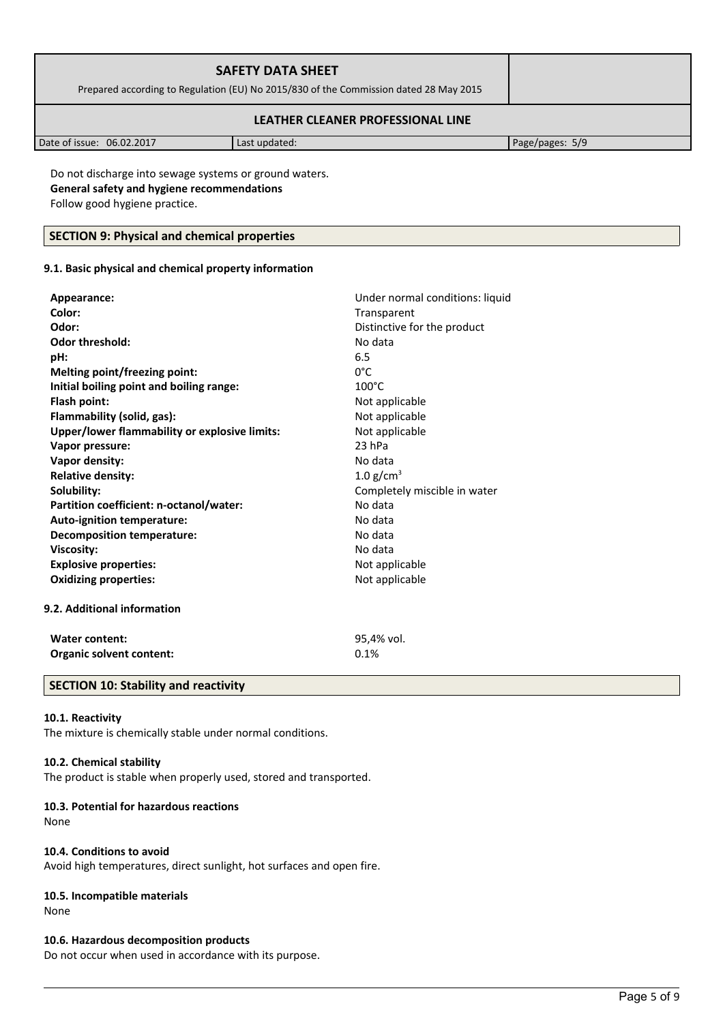| <b>SAFETY DATA SHEET</b><br>Prepared according to Regulation (EU) No 2015/830 of the Commission dated 28 May 2015 |  |
|-------------------------------------------------------------------------------------------------------------------|--|
| LEATHER CLEANER PROFESSIONAL LINE                                                                                 |  |

Date of issue: 06.02.2017 Last updated: Page/pages: 5/9

Do not discharge into sewage systems or ground waters. **General safety and hygiene recommendations** Follow good hygiene practice.

# **SECTION 9: Physical and chemical properties**

# **9.1. Basic physical and chemical property information**

| Appearance:                                   | Under normal conditions: liquid |
|-----------------------------------------------|---------------------------------|
| Color:                                        | Transparent                     |
| Odor:                                         | Distinctive for the product     |
| <b>Odor threshold:</b>                        | No data                         |
| pH:                                           | 6.5                             |
| <b>Melting point/freezing point:</b>          | $0^{\circ}$ C                   |
| Initial boiling point and boiling range:      | $100^{\circ}$ C                 |
| Flash point:                                  | Not applicable                  |
| Flammability (solid, gas):                    | Not applicable                  |
| Upper/lower flammability or explosive limits: | Not applicable                  |
| Vapor pressure:                               | 23 hPa                          |
| Vapor density:                                | No data                         |
| <b>Relative density:</b>                      | $1.0$ g/cm <sup>3</sup>         |
| Solubility:                                   | Completely miscible in water    |
| Partition coefficient: n-octanol/water:       | No data                         |
| Auto-ignition temperature:                    | No data                         |
| <b>Decomposition temperature:</b>             | No data                         |
| <b>Viscosity:</b>                             | No data                         |
| <b>Explosive properties:</b>                  | Not applicable                  |
| <b>Oxidizing properties:</b>                  | Not applicable                  |
| 9.2. Additional information                   |                                 |
| <b>Water content:</b>                         | 95,4% vol.                      |
| Organic solvent content:                      | 0.1%                            |

# **SECTION 10: Stability and reactivity**

# **10.1. Reactivity**

The mixture is chemically stable under normal conditions.

# **10.2. Chemical stability**

The product is stable when properly used, stored and transported.

# **10.3. Potential for hazardous reactions**

None

# **10.4. Conditions to avoid**

Avoid high temperatures, direct sunlight, hot surfaces and open fire.

# **10.5. Incompatible materials**

None

# **10.6. Hazardous decomposition products**

Do not occur when used in accordance with its purpose.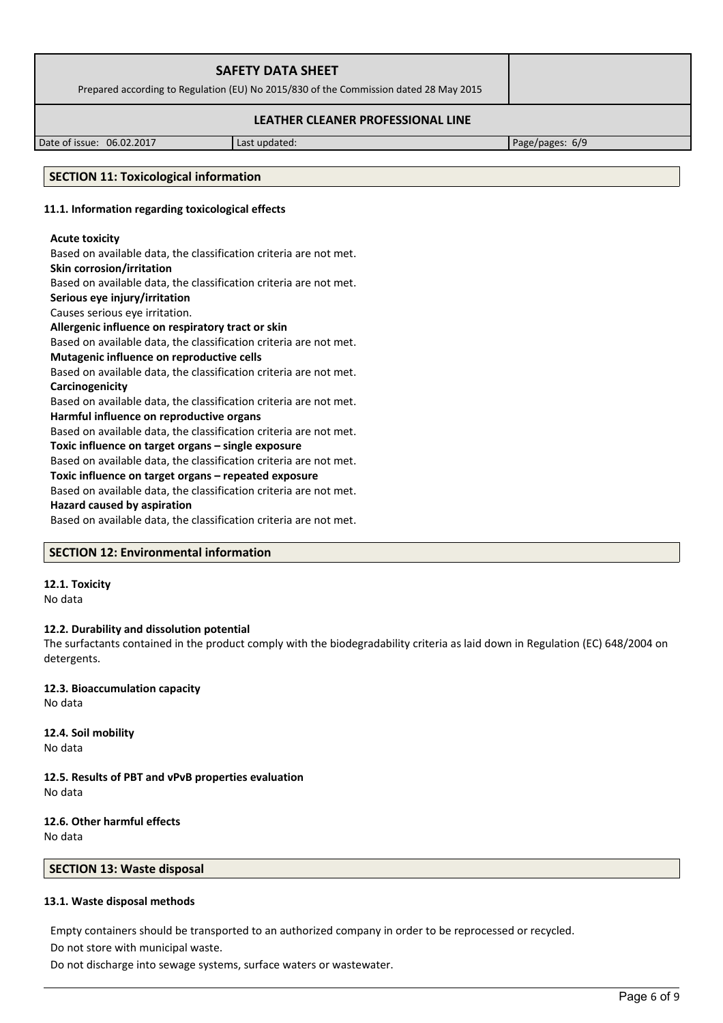| <b>SAFETY DATA SHEET</b><br>Prepared according to Regulation (EU) No 2015/830 of the Commission dated 28 May 2015 |               |                 |
|-------------------------------------------------------------------------------------------------------------------|---------------|-----------------|
| LEATHER CLEANER PROFESSIONAL LINE                                                                                 |               |                 |
| Date of issue: 06.02.2017                                                                                         | Last updated: | Page/pages: 6/9 |

# **SECTION 11: Toxicological information**

### **11.1. Information regarding toxicological effects**

# **Acute toxicity** Based on available data, the classification criteria are not met. **Skin corrosion/irritation** Based on available data, the classification criteria are not met. **Serious eye injury/irritation** Causes serious eye irritation. **Allergenic influence on respiratory tract or skin** Based on available data, the classification criteria are not met. **Mutagenic influence on reproductive cells** Based on available data, the classification criteria are not met. **Carcinogenicity** Based on available data, the classification criteria are not met. **Harmful influence on reproductive organs** Based on available data, the classification criteria are not met. **Toxic influence on target organs – single exposure** Based on available data, the classification criteria are not met. **Toxic influence on target organs – repeated exposure** Based on available data, the classification criteria are not met. **Hazard caused by aspiration**

Based on available data, the classification criteria are not met.

#### **SECTION 12: Environmental information**

#### **12.1. Toxicity** No data

**12.2. Durability and dissolution potential**

The surfactants contained in the product comply with the biodegradability criteria as laid down in Regulation (EC) 648/2004 on detergents.

**12.3. Bioaccumulation capacity** No data

**12.4. Soil mobility** No data

**12.5. Results of PBT and vPvB properties evaluation** No data

# **12.6. Other harmful effects**

No data

# **SECTION 13: Waste disposal**

# **13.1. Waste disposal methods**

Empty containers should be transported to an authorized company in order to be reprocessed or recycled.

Do not store with municipal waste.

Do not discharge into sewage systems, surface waters or wastewater.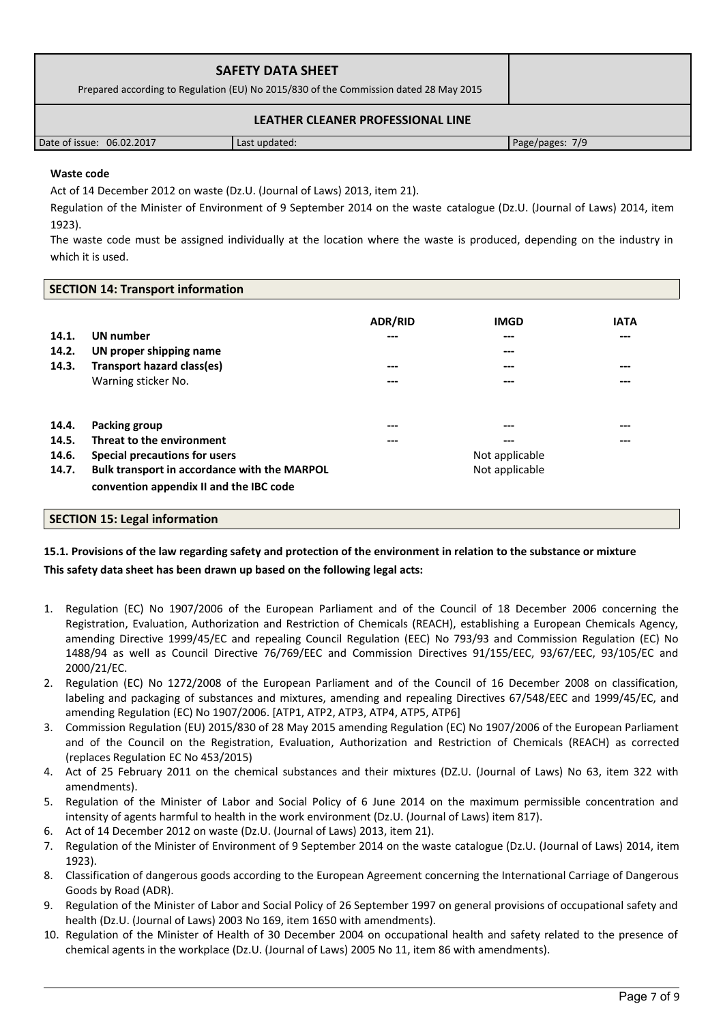| <b>SAFETY DATA SHEET</b><br>Prepared according to Regulation (EU) No 2015/830 of the Commission dated 28 May 2015 |               |                 |  |
|-------------------------------------------------------------------------------------------------------------------|---------------|-----------------|--|
| LEATHER CLEANER PROFESSIONAL LINE                                                                                 |               |                 |  |
| Date of issue: 06.02.2017                                                                                         | Last updated: | Page/pages: 7/9 |  |

# **Waste code**

Act of 14 December 2012 on waste (Dz.U. (Journal of Laws) 2013, item 21).

Regulation of the Minister of Environment of 9 September 2014 on the waste catalogue (Dz.U. (Journal of Laws) 2014, item 1923).

The waste code must be assigned individually at the location where the waste is produced, depending on the industry in which it is used.

#### **SECTION 14: Transport information**

|       |                                              | <b>ADR/RID</b> | <b>IMGD</b>    | <b>IATA</b> |
|-------|----------------------------------------------|----------------|----------------|-------------|
| 14.1. | <b>UN</b> number                             | ---            | $---$          | $---$       |
| 14.2. | UN proper shipping name                      |                | $---$          |             |
| 14.3. | Transport hazard class(es)                   | ---            | $---$          | $---$       |
|       | Warning sticker No.                          | ---            | $---$          | $---$       |
| 14.4. | Packing group                                | ---            | ---            | $---$       |
| 14.5. | Threat to the environment                    | ---            | $---$          | $---$       |
| 14.6. | Special precautions for users                | Not applicable |                |             |
| 14.7. | Bulk transport in accordance with the MARPOL |                | Not applicable |             |
|       | convention appendix II and the IBC code      |                |                |             |

# **SECTION 15: Legal information**

# **15.1. Provisions of the law regarding safety and protection of the environment in relation to the substance or mixture This safety data sheet has been drawn up based on the following legal acts:**

- 1. Regulation (EC) No 1907/2006 of the European Parliament and of the Council of 18 December 2006 concerning the Registration, Evaluation, Authorization and Restriction of Chemicals (REACH), establishing a European Chemicals Agency, amending Directive 1999/45/EC and repealing Council Regulation (EEC) No 793/93 and Commission Regulation (EC) No 1488/94 as well as Council Directive 76/769/EEC and Commission Directives 91/155/EEC, 93/67/EEC, 93/105/EC and 2000/21/EC.
- 2. Regulation (EC) No 1272/2008 of the European Parliament and of the Council of 16 December 2008 on classification, labeling and packaging of substances and mixtures, amending and repealing Directives 67/548/EEC and 1999/45/EC, and amending Regulation (EC) No 1907/2006. [ATP1, ATP2, ATP3, ATP4, ATP5, ATP6]
- 3. Commission Regulation (EU) 2015/830 of 28 May 2015 amending Regulation (EC) No 1907/2006 of the European Parliament and of the Council on the Registration, Evaluation, Authorization and Restriction of Chemicals (REACH) as corrected (replaces Regulation EC No 453/2015)
- 4. Act of 25 February 2011 on the chemical substances and their mixtures (DZ.U. (Journal of Laws) No 63, item 322 with amendments).
- 5. Regulation of the Minister of Labor and Social Policy of 6 June 2014 on the maximum permissible concentration and intensity of agents harmful to health in the work environment (Dz.U. (Journal of Laws) item 817).
- 6. Act of 14 December 2012 on waste (Dz.U. (Journal of Laws) 2013, item 21).
- 7. Regulation of the Minister of Environment of 9 September 2014 on the waste catalogue (Dz.U. (Journal of Laws) 2014, item 1923).
- 8. Classification of dangerous goods according to the European Agreement concerning the International Carriage of Dangerous Goods by Road (ADR).
- 9. Regulation of the Minister of Labor and Social Policy of 26 September 1997 on general provisions of occupational safety and health (Dz.U. (Journal of Laws) 2003 No 169, item 1650 with amendments).
- 10. Regulation of the Minister of Health of 30 December 2004 on occupational health and safety related to the presence of chemical agents in the workplace (Dz.U. (Journal of Laws) 2005 No 11, item 86 with amendments).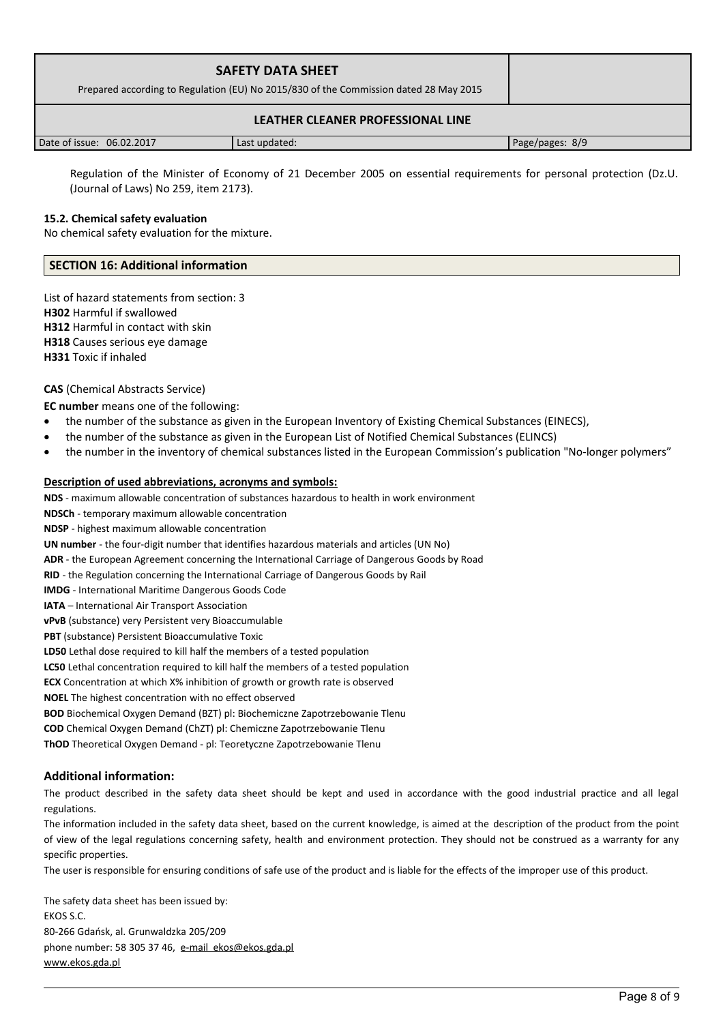| <b>SAFETY DATA SHEET</b><br>Prepared according to Regulation (EU) No 2015/830 of the Commission dated 28 May 2015 |               |                 |
|-------------------------------------------------------------------------------------------------------------------|---------------|-----------------|
| LEATHER CLEANER PROFESSIONAL LINE                                                                                 |               |                 |
| Date of issue: 06.02.2017                                                                                         | Last updated: | Page/pages: 8/9 |

 Regulation of the Minister of Economy of 21 December 2005 on essential requirements for personal protection (Dz.U. (Journal of Laws) No 259, item 2173).

# **15.2. Chemical safety evaluation**

No chemical safety evaluation for the mixture.

# **SECTION 16: Additional information**

List of hazard statements from section: 3 **H302** Harmful if swallowed **H312** Harmful in contact with skin **H318** Causes serious eye damage **H331** Toxic if inhaled

# **CAS** (Chemical Abstracts Service)

**EC number** means one of the following:

- the number of the substance as given in the European Inventory of Existing Chemical Substances (EINECS),
- the number of the substance as given in the European List of Notified Chemical Substances (ELINCS)
- the number in the inventory of chemical substances listed in the European Commission's publication "No-longer polymers"

#### **Description of used abbreviations, acronyms and symbols:**

**NDS** - maximum allowable concentration of substances hazardous to health in work environment

**NDSCh** - temporary maximum allowable concentration

**NDSP** - highest maximum allowable concentration

**UN number** - the four-digit number that identifies hazardous materials and articles (UN No)

**ADR** - the European Agreement concerning the International Carriage of Dangerous Goods by Road

**RID** - the Regulation concerning the International Carriage of Dangerous Goods by Rail

**IMDG** - International Maritime Dangerous Goods Code

**IATA** – International Air Transport Association

**vPvB** (substance) very Persistent very Bioaccumulable

**PBT** (substance) Persistent Bioaccumulative Toxic

**LD50** Lethal dose required to kill half the members of a tested population

**LC50** Lethal concentration required to kill half the members of a tested population

**ECX** Concentration at which X% inhibition of growth or growth rate is observed

**NOEL** The highest concentration with no effect observed

**BOD** Biochemical Oxygen Demand (BZT) pl: Biochemiczne Zapotrzebowanie Tlenu

**COD** Chemical Oxygen Demand (ChZT) pl: Chemiczne Zapotrzebowanie Tlenu

**ThOD** Theoretical Oxygen Demand - pl: Teoretyczne Zapotrzebowanie Tlenu

# **Additional information:**

The product described in the safety data sheet should be kept and used in accordance with the good industrial practice and all legal regulations.

The information included in the safety data sheet, based on the current knowledge, is aimed at the description of the product from the point of view of the legal regulations concerning safety, health and environment protection. They should not be construed as a warranty for any specific properties.

The user is responsible for ensuring conditions of safe use of the product and is liable for the effects of the improper use of this product.

The safety data sheet has been issued by: EKOS S.C. 80-266 Gdańsk, al. Grunwaldzka 205/209 phone number: 58 305 37 46, [e-mail ekos@ekos.gda.pl](mailto:e-mail%20%20ekos@ekos.gda.pl) [www.ekos.gda.pl](http://www.ekos.gda.pl/)